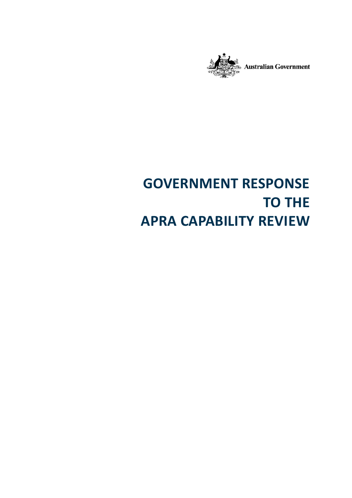

# **GOVERNMENT RESPONSE TO THE APRA CAPABILITY REVIEW**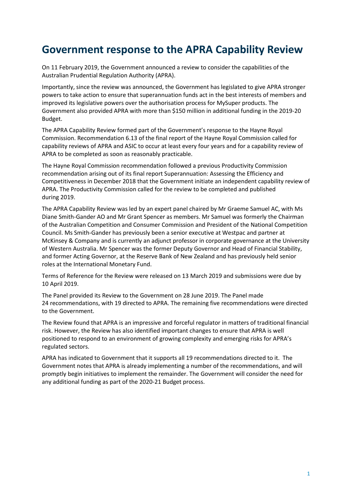# **Government response to the APRA Capability Review**

On 11 February 2019, the Government announced a review to consider the capabilities of the Australian Prudential Regulation Authority (APRA).

Importantly, since the review was announced, the Government has legislated to give APRA stronger powers to take action to ensure that superannuation funds act in the best interests of members and improved its legislative powers over the authorisation process for MySuper products. The Government also provided APRA with more than \$150 million in additional funding in the 2019-20 Budget.

The APRA Capability Review formed part of the Government's response to the Hayne Royal Commission. Recommendation 6.13 of the final report of the Hayne Royal Commission called for capability reviews of APRA and ASIC to occur at least every four years and for a capability review of APRA to be completed as soon as reasonably practicable.

The Hayne Royal Commission recommendation followed a previous Productivity Commission recommendation arising out of its final report Superannuation: Assessing the Efficiency and Competitiveness in December 2018 that the Government initiate an independent capability review of APRA. The Productivity Commission called for the review to be completed and published during 2019.

The APRA Capability Review was led by an expert panel chaired by Mr Graeme Samuel AC, with Ms Diane Smith-Gander AO and Mr Grant Spencer as members. Mr Samuel was formerly the Chairman of the Australian Competition and Consumer Commission and President of the National Competition Council. Ms Smith-Gander has previously been a senior executive at Westpac and partner at McKinsey & Company and is currently an adjunct professor in corporate governance at the University of Western Australia. Mr Spencer was the former Deputy Governor and Head of Financial Stability, and former Acting Governor, at the Reserve Bank of New Zealand and has previously held senior roles at the International Monetary Fund.

Terms of Reference for the Review were released on 13 March 2019 and submissions were due by 10 April 2019.

The Panel provided its Review to the Government on 28 June 2019. The Panel made 24 recommendations, with 19 directed to APRA. The remaining five recommendations were directed to the Government.

The Review found that APRA is an impressive and forceful regulator in matters of traditional financial risk. However, the Review has also identified important changes to ensure that APRA is well positioned to respond to an environment of growing complexity and emerging risks for APRA's regulated sectors.

APRA has indicated to Government that it supports all 19 recommendations directed to it. The Government notes that APRA is already implementing a number of the recommendations, and will promptly begin initiatives to implement the remainder. The Government will consider the need for any additional funding as part of the 2020-21 Budget process.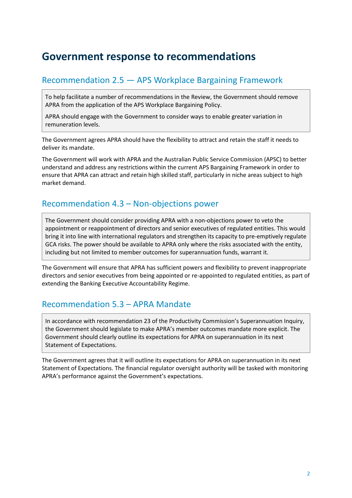## **Government response to recommendations**

#### Recommendation 2.5 — APS Workplace Bargaining Framework

To help facilitate a number of recommendations in the Review, the Government should remove APRA from the application of the APS Workplace Bargaining Policy.

APRA should engage with the Government to consider ways to enable greater variation in remuneration levels.

The Government agrees APRA should have the flexibility to attract and retain the staff it needs to deliver its mandate.

The Government will work with APRA and the Australian Public Service Commission (APSC) to better understand and address any restrictions within the current APS Bargaining Framework in order to ensure that APRA can attract and retain high skilled staff, particularly in niche areas subject to high market demand.

#### Recommendation 4.3 – Non-objections power

The Government should consider providing APRA with a non-objections power to veto the appointment or reappointment of directors and senior executives of regulated entities. This would bring it into line with international regulators and strengthen its capacity to pre-emptively regulate GCA risks. The power should be available to APRA only where the risks associated with the entity, including but not limited to member outcomes for superannuation funds, warrant it.

The Government will ensure that APRA has sufficient powers and flexibility to prevent inappropriate directors and senior executives from being appointed or re-appointed to regulated entities, as part of extending the Banking Executive Accountability Regime.

#### Recommendation 5.3 – APRA Mandate

In accordance with recommendation 23 of the Productivity Commission's Superannuation Inquiry, the Government should legislate to make APRA's member outcomes mandate more explicit. The Government should clearly outline its expectations for APRA on superannuation in its next Statement of Expectations.

The Government agrees that it will outline its expectations for APRA on superannuation in its next Statement of Expectations. The financial regulator oversight authority will be tasked with monitoring APRA's performance against the Government's expectations.